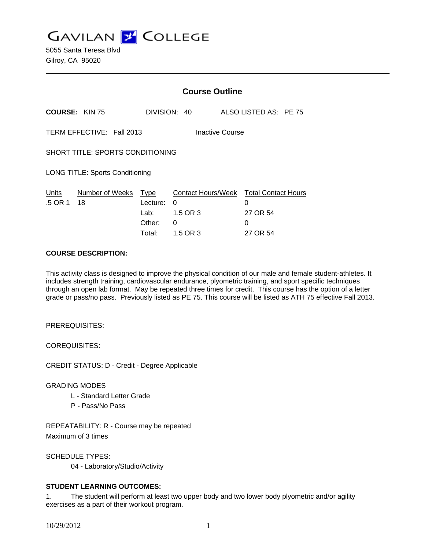**GAVILAN Z COLLEGE** 

|                                              |                       | <b>Course Outline</b>                               |                                                      |                                |                            |
|----------------------------------------------|-----------------------|-----------------------------------------------------|------------------------------------------------------|--------------------------------|----------------------------|
|                                              | <b>COURSE: KIN 75</b> |                                                     | DIVISION: 40                                         | ALSO LISTED AS: PE 75          |                            |
| TERM EFFECTIVE: Fall 2013<br>Inactive Course |                       |                                                     |                                                      |                                |                            |
| SHORT TITLE: SPORTS CONDITIONING             |                       |                                                     |                                                      |                                |                            |
| <b>LONG TITLE: Sports Conditioning</b>       |                       |                                                     |                                                      |                                |                            |
| Units<br>.5 OR 1                             | Number of Weeks<br>18 | <b>Type</b><br>Lecture:<br>Lab:<br>Other:<br>Total: | Contact Hours/Week<br>0<br>1.5 OR 3<br>0<br>1.5 OR 3 | 0<br>27 OR 54<br>0<br>27 OR 54 | <b>Total Contact Hours</b> |

#### **COURSE DESCRIPTION:**

This activity class is designed to improve the physical condition of our male and female student-athletes. It includes strength training, cardiovascular endurance, plyometric training, and sport specific techniques through an open lab format. May be repeated three times for credit. This course has the option of a letter grade or pass/no pass. Previously listed as PE 75. This course will be listed as ATH 75 effective Fall 2013.

PREREQUISITES:

COREQUISITES:

CREDIT STATUS: D - Credit - Degree Applicable

#### GRADING MODES

- L Standard Letter Grade
- P Pass/No Pass

REPEATABILITY: R - Course may be repeated Maximum of 3 times

SCHEDULE TYPES:

04 - Laboratory/Studio/Activity

# **STUDENT LEARNING OUTCOMES:**

1. The student will perform at least two upper body and two lower body plyometric and/or agility exercises as a part of their workout program.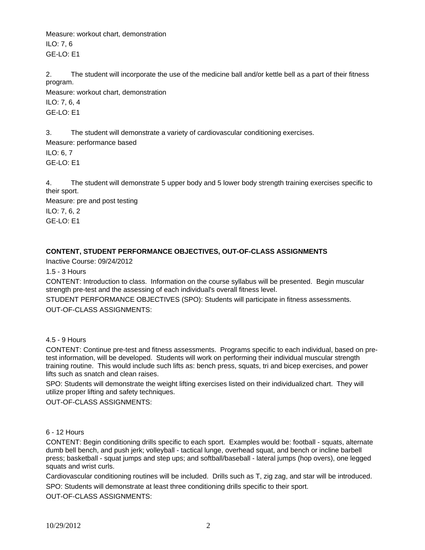Measure: workout chart, demonstration ILO: 7, 6 GE-LO: E1

2. The student will incorporate the use of the medicine ball and/or kettle bell as a part of their fitness program.

Measure: workout chart, demonstration ILO: 7, 6, 4 GE-LO: E1

3. The student will demonstrate a variety of cardiovascular conditioning exercises.

Measure: performance based ILO: 6, 7 GE-LO: E1

4. The student will demonstrate 5 upper body and 5 lower body strength training exercises specific to their sport.

Measure: pre and post testing ILO: 7, 6, 2 GE-LO: E1

# **CONTENT, STUDENT PERFORMANCE OBJECTIVES, OUT-OF-CLASS ASSIGNMENTS**

Inactive Course: 09/24/2012

1.5 - 3 Hours

CONTENT: Introduction to class. Information on the course syllabus will be presented. Begin muscular strength pre-test and the assessing of each individual's overall fitness level.

STUDENT PERFORMANCE OBJECTIVES (SPO): Students will participate in fitness assessments. OUT-OF-CLASS ASSIGNMENTS:

# 4.5 - 9 Hours

CONTENT: Continue pre-test and fitness assessments. Programs specific to each individual, based on pretest information, will be developed. Students will work on performing their individual muscular strength training routine. This would include such lifts as: bench press, squats, tri and bicep exercises, and power lifts such as snatch and clean raises.

SPO: Students will demonstrate the weight lifting exercises listed on their individualized chart. They will utilize proper lifting and safety techniques.

OUT-OF-CLASS ASSIGNMENTS:

# 6 - 12 Hours

CONTENT: Begin conditioning drills specific to each sport. Examples would be: football - squats, alternate dumb bell bench, and push jerk; volleyball - tactical lunge, overhead squat, and bench or incline barbell press; basketball - squat jumps and step ups; and softball/baseball - lateral jumps (hop overs), one legged squats and wrist curls.

Cardiovascular conditioning routines will be included. Drills such as T, zig zag, and star will be introduced.

SPO: Students will demonstrate at least three conditioning drills specific to their sport. OUT-OF-CLASS ASSIGNMENTS: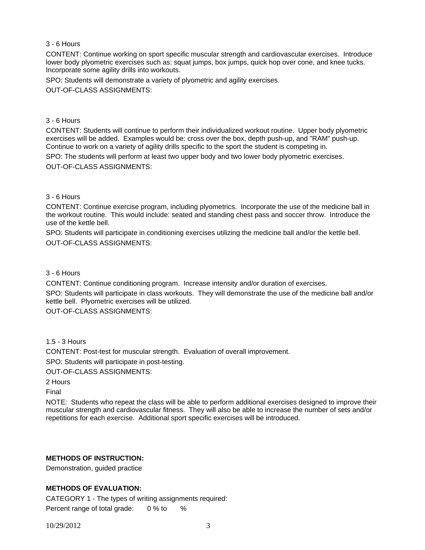## 3 - 6 Hours

CONTENT: Continue working on sport specific muscular strength and cardiovascular exercises. Introduce lower body plyometric exercises such as: squat jumps, box jumps, quick hop over cone, and knee tucks. Incorporate some agility drills into workouts.

SPO: Students will demonstrate a variety of plyometric and agility exercises.

OUT-OF-CLASS ASSIGNMENTS:

#### 3 - 6 Hours

CONTENT: Students will continue to perform their individualized workout routine. Upper body plyometric exercises will be added. Examples would be: cross over the box, depth push-up, and "RAM" push-up. Continue to work on a variety of agility drills specific to the sport the student is competing in.

SPO: The students will perform at least two upper body and two lower body plyometric exercises.

OUT-OF-CLASS ASSIGNMENTS:

#### 3 - 6 Hours

CONTENT: Continue exercise program, including plyometrics. Incorporate the use of the medicine ball in the workout routine. This would include: seated and standing chest pass and soccer throw. Introduce the use of the kettle bell.

SPO: Students will participate in conditioning exercises utilizing the medicine ball and/or the kettle bell. OUT-OF-CLASS ASSIGNMENTS:

#### 3 - 6 Hours

CONTENT: Continue conditioning program. Increase intensity and/or duration of exercises.

SPO: Students will participate in class workouts. They will demonstrate the use of the medicine ball and/or kettle bell. Plyometric exercises will be utilized.

OUT-OF-CLASS ASSIGNMENTS:

# 1.5 - 3 Hours

CONTENT: Post-test for muscular strength. Evaluation of overall improvement.

SPO: Students will participate in post-testing.

OUT-OF-CLASS ASSIGNMENTS:

2 Hours

Final

NOTE: Students who repeat the class will be able to perform additional exercises designed to improve their muscular strength and cardiovascular fitness. They will also be able to increase the number of sets and/or repetitions for each exercise. Additional sport specific exercises will be introduced.

# **METHODS OF INSTRUCTION:**

Demonstration, guided practice

# **METHODS OF EVALUATION:**

CATEGORY 1 - The types of writing assignments required: Percent range of total grade: 0 % to %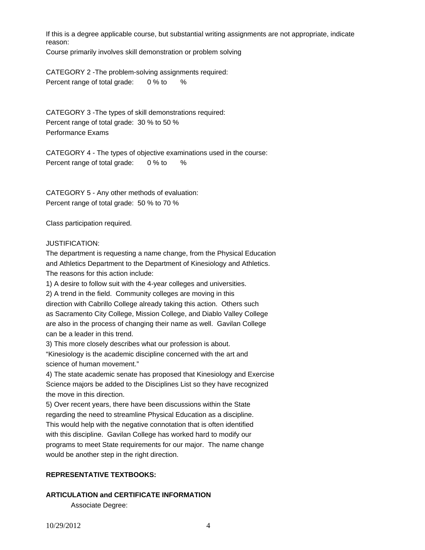If this is a degree applicable course, but substantial writing assignments are not appropriate, indicate reason:

Course primarily involves skill demonstration or problem solving

CATEGORY 2 -The problem-solving assignments required: Percent range of total grade: 0 % to %

CATEGORY 3 -The types of skill demonstrations required: Percent range of total grade: 30 % to 50 % Performance Exams

CATEGORY 4 - The types of objective examinations used in the course: Percent range of total grade: 0 % to %

CATEGORY 5 - Any other methods of evaluation: Percent range of total grade: 50 % to 70 %

Class participation required.

#### JUSTIFICATION:

The department is requesting a name change, from the Physical Education and Athletics Department to the Department of Kinesiology and Athletics. The reasons for this action include:

1) A desire to follow suit with the 4-year colleges and universities.

2) A trend in the field. Community colleges are moving in this direction with Cabrillo College already taking this action. Others such as Sacramento City College, Mission College, and Diablo Valley College are also in the process of changing their name as well. Gavilan College can be a leader in this trend.

3) This more closely describes what our profession is about.

"Kinesiology is the academic discipline concerned with the art and science of human movement."

4) The state academic senate has proposed that Kinesiology and Exercise Science majors be added to the Disciplines List so they have recognized the move in this direction.

5) Over recent years, there have been discussions within the State regarding the need to streamline Physical Education as a discipline. This would help with the negative connotation that is often identified with this discipline. Gavilan College has worked hard to modify our programs to meet State requirements for our major. The name change would be another step in the right direction.

# **REPRESENTATIVE TEXTBOOKS:**

# **ARTICULATION and CERTIFICATE INFORMATION**

Associate Degree: